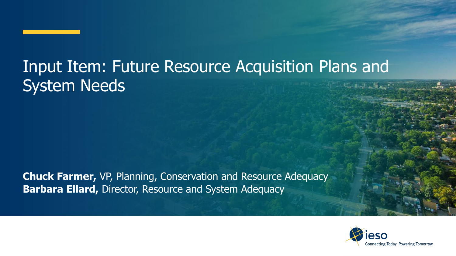#### Input Item: Future Resource Acquisition Plans and System Needs

**Chuck Farmer,** VP, Planning, Conservation and Resource Adequacy **Barbara Ellard,** Director, Resource and System Adequacy

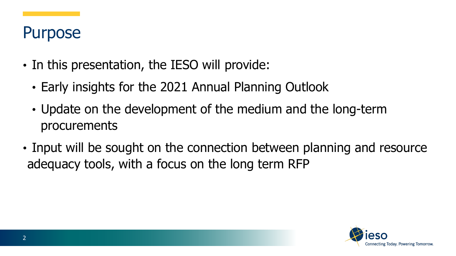#### Purpose

- In this presentation, the IESO will provide:
	- Early insights for the 2021 Annual Planning Outlook
	- Update on the development of the medium and the long-term procurements
- Input will be sought on the connection between planning and resource adequacy tools, with a focus on the long term RFP

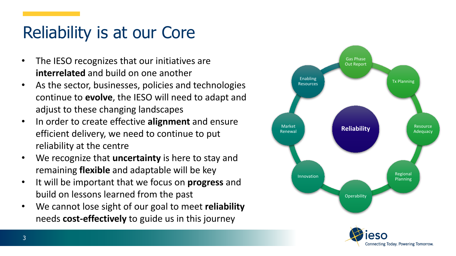### Reliability is at our Core

- The IESO recognizes that our initiatives are **interrelated** and build on one another
- As the sector, businesses, policies and technologies continue to **evolve**, the IESO will need to adapt and adjust to these changing landscapes
- In order to create effective **alignment** and ensure efficient delivery, we need to continue to put reliability at the centre
- We recognize that **uncertainty** is here to stay and remaining **flexible** and adaptable will be key
- It will be important that we focus on **progress** and build on lessons learned from the past
- We cannot lose sight of our goal to meet **reliability** needs **cost-effectively** to guide us in this journey

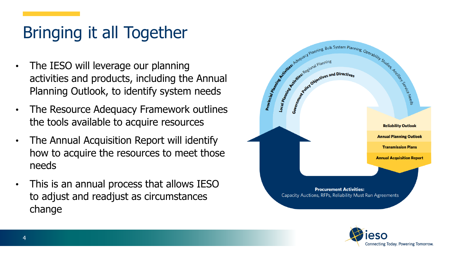# Bringing it all Together

- The IESO will leverage our planning activities and products, including the Annual Planning Outlook, to identify system needs
- The Resource Adequacy Framework outlines the tools available to acquire resources
- The Annual Acquisition Report will identify how to acquire the resources to meet those needs
- This is an annual process that allows IESO to adjust and readjust as circumstances change



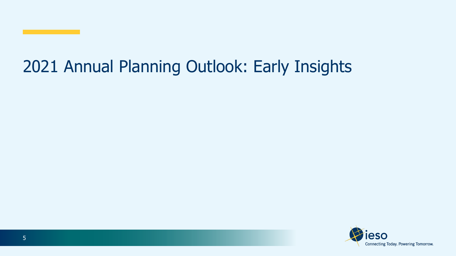#### 2021 Annual Planning Outlook: Early Insights

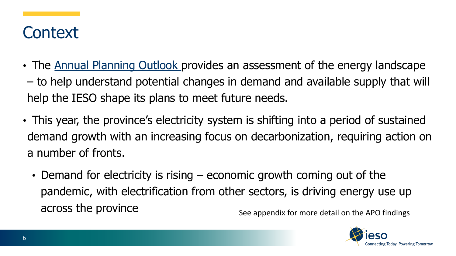#### **Context**

- The [Annual Planning Outlook](https://www.ieso.ca/en/Sector-Participants/Planning-and-Forecasting/Annual-Planning-Outlook) provides an assessment of the energy landscape – to help understand potential changes in demand and available supply that will help the IESO shape its plans to meet future needs.
- This year, the province's electricity system is shifting into a period of sustained demand growth with an increasing focus on decarbonization, requiring action on a number of fronts.
	- Demand for electricity is rising economic growth coming out of the pandemic, with electrification from other sectors, is driving energy use up across the province See appendix for more detail on the APO findings

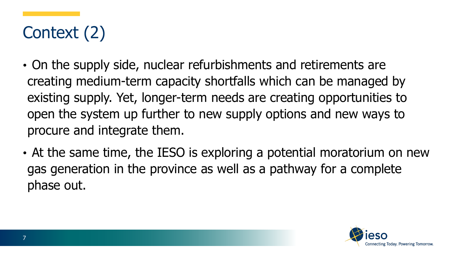# Context (2)

- On the supply side, nuclear refurbishments and retirements are creating medium-term capacity shortfalls which can be managed by existing supply. Yet, longer-term needs are creating opportunities to open the system up further to new supply options and new ways to procure and integrate them.
- At the same time, the IESO is exploring a potential moratorium on new gas generation in the province as well as a pathway for a complete phase out.

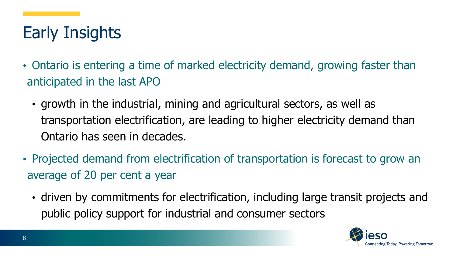## Early Insights

- Ontario is entering a time of marked electricity demand, growing faster than anticipated in the last APO
	- growth in the industrial, mining and agricultural sectors, as well as transportation electrification, are leading to higher electricity demand than Ontario has seen in decades.
- Projected demand from electrification of transportation is forecast to grow an average of 20 per cent a year
	- driven by commitments for electrification, including large transit projects and public policy support for industrial and consumer sectors

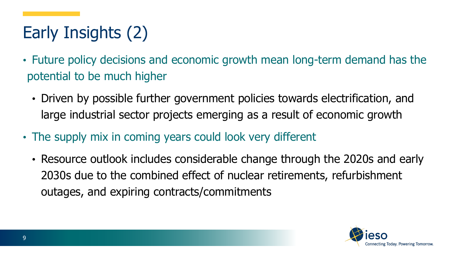# Early Insights (2)

- Future policy decisions and economic growth mean long-term demand has the potential to be much higher
	- Driven by possible further government policies towards electrification, and large industrial sector projects emerging as a result of economic growth
- The supply mix in coming years could look very different
	- Resource outlook includes considerable change through the 2020s and early 2030s due to the combined effect of nuclear retirements, refurbishment outages, and expiring contracts/commitments

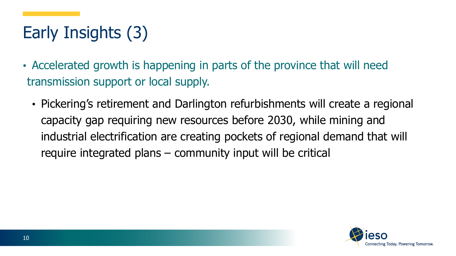# Early Insights (3)

- Accelerated growth is happening in parts of the province that will need transmission support or local supply.
	- Pickering's retirement and Darlington refurbishments will create a regional capacity gap requiring new resources before 2030, while mining and industrial electrification are creating pockets of regional demand that will require integrated plans – community input will be critical

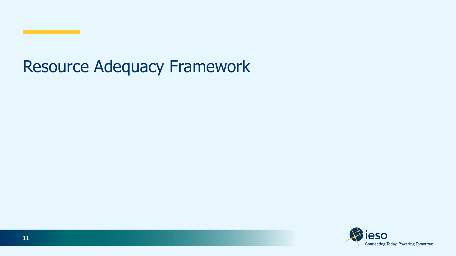#### Resource Adequacy Framework

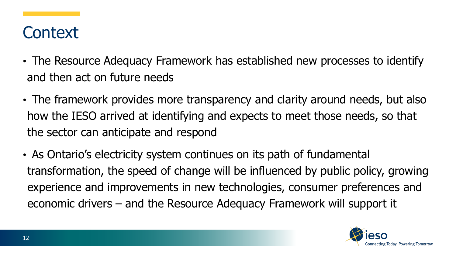#### **Context**

- The Resource Adequacy Framework has established new processes to identify and then act on future needs
- The framework provides more transparency and clarity around needs, but also how the IESO arrived at identifying and expects to meet those needs, so that the sector can anticipate and respond
- As Ontario's electricity system continues on its path of fundamental transformation, the speed of change will be influenced by public policy, growing experience and improvements in new technologies, consumer preferences and economic drivers – and the Resource Adequacy Framework will support it

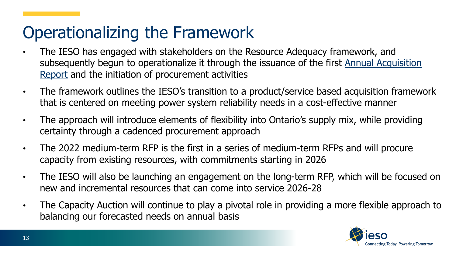#### Operationalizing the Framework

- The IESO has engaged with stakeholders on the Resource Adequacy framework, and [subsequently begun to operationalize it through the issuance of the first Annual Acquisition](https://www.ieso.ca/en/Sector-Participants/Planning-and-Forecasting/Annual-Acquisition-Report)  Report and the initiation of procurement activities
- The framework outlines the IESO's transition to a product/service based acquisition framework that is centered on meeting power system reliability needs in a cost-effective manner
- The approach will introduce elements of flexibility into Ontario's supply mix, while providing certainty through a cadenced procurement approach
- The 2022 medium-term RFP is the first in a series of medium-term RFPs and will procure capacity from existing resources, with commitments starting in 2026
- The IESO will also be launching an engagement on the long-term RFP, which will be focused on new and incremental resources that can come into service 2026-28
- The Capacity Auction will continue to play a pivotal role in providing a more flexible approach to balancing our forecasted needs on annual basis

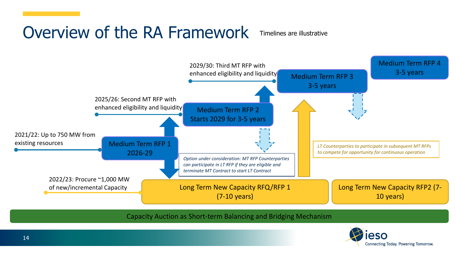### Overview of the RA Framework

Timelines are illustrative



Capacity Auction as Short-term Balancing and Bridging Mechanism

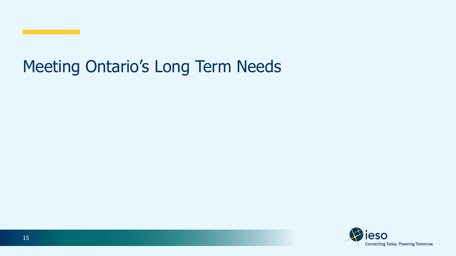#### Meeting Ontario's Long Term Needs

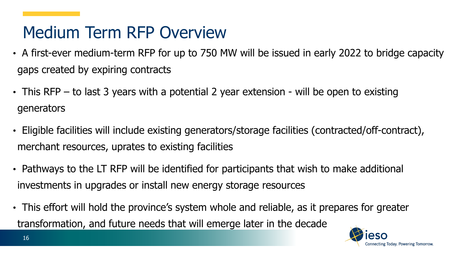### Medium Term RFP Overview

- A first-ever medium-term RFP for up to 750 MW will be issued in early 2022 to bridge capacity gaps created by expiring contracts
- This RFP to last 3 years with a potential 2 year extension will be open to existing generators
- Eligible facilities will include existing generators/storage facilities (contracted/off-contract), merchant resources, uprates to existing facilities
- Pathways to the LT RFP will be identified for participants that wish to make additional investments in upgrades or install new energy storage resources
- This effort will hold the province's system whole and reliable, as it prepares for greater transformation, and future needs that will emerge later in the decade

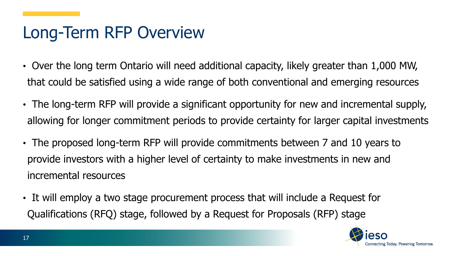### Long-Term RFP Overview

- Over the long term Ontario will need additional capacity, likely greater than 1,000 MW, that could be satisfied using a wide range of both conventional and emerging resources
- The long-term RFP will provide a significant opportunity for new and incremental supply, allowing for longer commitment periods to provide certainty for larger capital investments
- The proposed long-term RFP will provide commitments between 7 and 10 years to provide investors with a higher level of certainty to make investments in new and incremental resources
- It will employ a two stage procurement process that will include a Request for Qualifications (RFQ) stage, followed by a Request for Proposals (RFP) stage

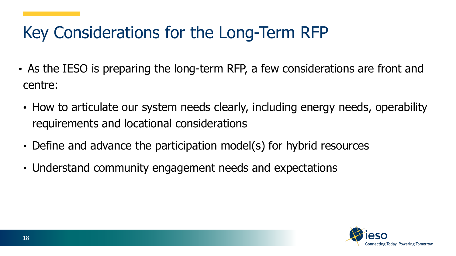### Key Considerations for the Long-Term RFP

- As the IESO is preparing the long-term RFP, a few considerations are front and centre:
- How to articulate our system needs clearly, including energy needs, operability requirements and locational considerations
- Define and advance the participation model(s) for hybrid resources
- Understand community engagement needs and expectations

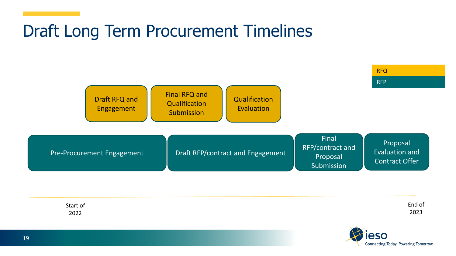#### Draft Long Term Procurement Timelines